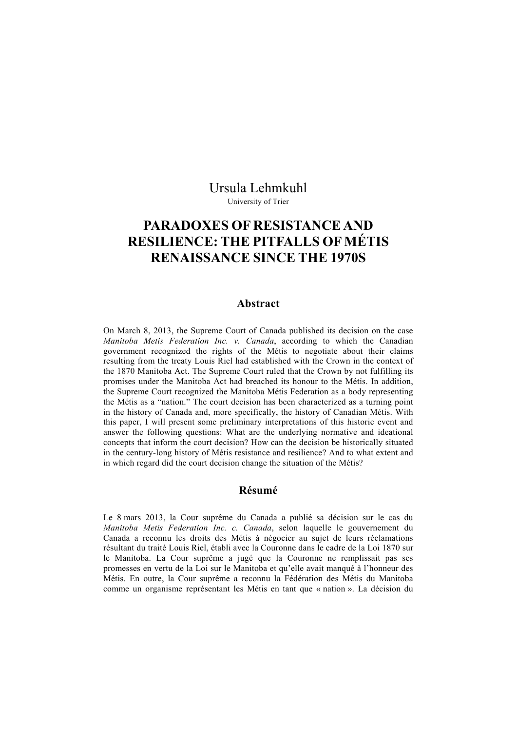Ursula Lehmkuhl University of Trier

# **PARADOXES OF RESISTANCE AND RESILIENCE: THE PITFALLS OF MÉTIS RENAISSANCE SINCE THE 1970S**

#### **Abstract**

On March 8, 2013, the Supreme Court of Canada published its decision on the case *Manitoba Metis Federation Inc. v. Canada*, according to which the Canadian government recognized the rights of the Métis to negotiate about their claims resulting from the treaty Louis Riel had established with the Crown in the context of the 1870 Manitoba Act. The Supreme Court ruled that the Crown by not fulfilling its promises under the Manitoba Act had breached its honour to the Métis. In addition, the Supreme Court recognized the Manitoba Métis Federation as a body representing the Métis as a "nation." The court decision has been characterized as a turning point in the history of Canada and, more specifically, the history of Canadian Métis. With this paper, I will present some preliminary interpretations of this historic event and answer the following questions: What are the underlying normative and ideational concepts that inform the court decision? How can the decision be historically situated in the century-long history of Métis resistance and resilience? And to what extent and in which regard did the court decision change the situation of the Métis?

#### **Résumé**

Le 8 mars 2013, la Cour suprême du Canada a publié sa décision sur le cas du *Manitoba Metis Federation Inc. c. Canada*, selon laquelle le gouvernement du Canada a reconnu les droits des Métis à négocier au sujet de leurs réclamations résultant du traité Louis Riel, établi avec la Couronne dans le cadre de la Loi 1870 sur le Manitoba. La Cour suprême a jugé que la Couronne ne remplissait pas ses promesses en vertu de la Loi sur le Manitoba et qu'elle avait manqué à l'honneur des Métis. En outre, la Cour suprême a reconnu la Fédération des Métis du Manitoba comme un organisme représentant les Métis en tant que « nation ». La décision du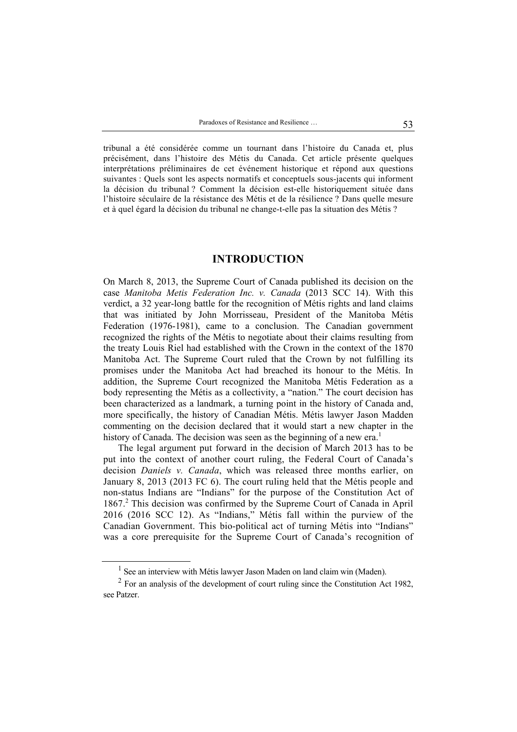tribunal a été considérée comme un tournant dans l'histoire du Canada et, plus précisément, dans l'histoire des Métis du Canada. Cet article présente quelques interprétations préliminaires de cet événement historique et répond aux questions suivantes : Quels sont les aspects normatifs et conceptuels sous-jacents qui informent la décision du tribunal ? Comment la décision est-elle historiquement située dans l'histoire séculaire de la résistance des Métis et de la résilience ? Dans quelle mesure et à quel égard la décision du tribunal ne change-t-elle pas la situation des Métis ?

#### **INTRODUCTION**

On March 8, 2013, the Supreme Court of Canada published its decision on the case *Manitoba Metis Federation Inc. v. Canada* (2013 SCC 14). With this verdict, a 32 year-long battle for the recognition of Métis rights and land claims that was initiated by John Morrisseau, President of the Manitoba Métis Federation (1976-1981), came to a conclusion. The Canadian government recognized the rights of the Métis to negotiate about their claims resulting from the treaty Louis Riel had established with the Crown in the context of the 1870 Manitoba Act. The Supreme Court ruled that the Crown by not fulfilling its promises under the Manitoba Act had breached its honour to the Métis. In addition, the Supreme Court recognized the Manitoba Métis Federation as a body representing the Métis as a collectivity, a "nation." The court decision has been characterized as a landmark, a turning point in the history of Canada and, more specifically, the history of Canadian Métis. Métis lawyer Jason Madden commenting on the decision declared that it would start a new chapter in the history of Canada. The decision was seen as the beginning of a new  $era<sup>1</sup>$ 

The legal argument put forward in the decision of March 2013 has to be put into the context of another court ruling, the Federal Court of Canada's decision *Daniels v. Canada*, which was released three months earlier, on January 8, 2013 (2013 FC 6). The court ruling held that the Métis people and non-status Indians are "Indians" for the purpose of the Constitution Act of 1867.<sup>2</sup> This decision was confirmed by the Supreme Court of Canada in April 2016 (2016 SCC 12). As "Indians," Métis fall within the purview of the Canadian Government. This bio-political act of turning Métis into "Indians" was a core prerequisite for the Supreme Court of Canada's recognition of

<sup>&</sup>lt;sup>1</sup> See an interview with Métis lawyer Jason Maden on land claim win (Maden).

 $2^2$  For an analysis of the development of court ruling since the Constitution Act 1982, see Patzer.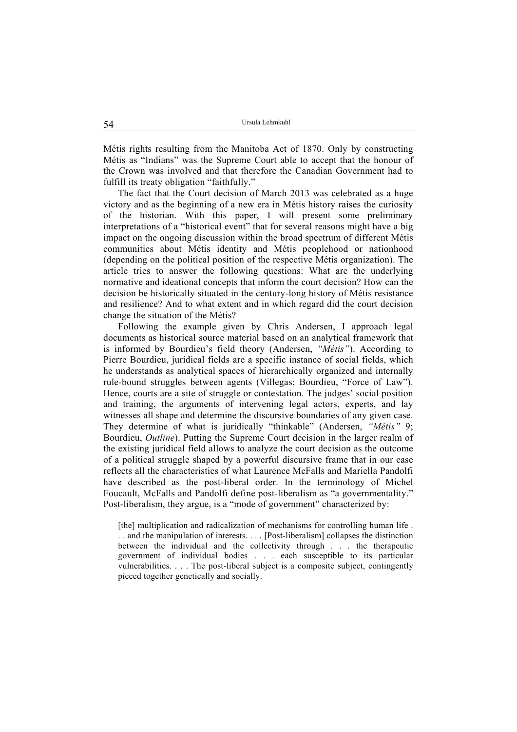Métis rights resulting from the Manitoba Act of 1870. Only by constructing Métis as "Indians" was the Supreme Court able to accept that the honour of the Crown was involved and that therefore the Canadian Government had to fulfill its treaty obligation "faithfully."

The fact that the Court decision of March 2013 was celebrated as a huge victory and as the beginning of a new era in Métis history raises the curiosity of the historian. With this paper, I will present some preliminary interpretations of a "historical event" that for several reasons might have a big impact on the ongoing discussion within the broad spectrum of different Métis communities about Métis identity and Métis peoplehood or nationhood (depending on the political position of the respective Métis organization). The article tries to answer the following questions: What are the underlying normative and ideational concepts that inform the court decision? How can the decision be historically situated in the century-long history of Métis resistance and resilience? And to what extent and in which regard did the court decision change the situation of the Métis?

Following the example given by Chris Andersen, I approach legal documents as historical source material based on an analytical framework that is informed by Bourdieu's field theory (Andersen, *"Métis"*). According to Pierre Bourdieu, juridical fields are a specific instance of social fields, which he understands as analytical spaces of hierarchically organized and internally rule-bound struggles between agents (Villegas; Bourdieu, "Force of Law"). Hence, courts are a site of struggle or contestation. The judges' social position and training, the arguments of intervening legal actors, experts, and lay witnesses all shape and determine the discursive boundaries of any given case. They determine of what is juridically "thinkable" (Andersen, *"Métis"* 9; Bourdieu, *Outline*). Putting the Supreme Court decision in the larger realm of the existing juridical field allows to analyze the court decision as the outcome of a political struggle shaped by a powerful discursive frame that in our case reflects all the characteristics of what Laurence McFalls and Mariella Pandolfi have described as the post-liberal order. In the terminology of Michel Foucault, McFalls and Pandolfi define post-liberalism as "a governmentality." Post-liberalism, they argue, is a "mode of government" characterized by:

[the] multiplication and radicalization of mechanisms for controlling human life . . . and the manipulation of interests. . . . [Post-liberalism] collapses the distinction between the individual and the collectivity through . . . the therapeutic government of individual bodies . . . each susceptible to its particular vulnerabilities. . . . The post-liberal subject is a composite subject, contingently pieced together genetically and socially.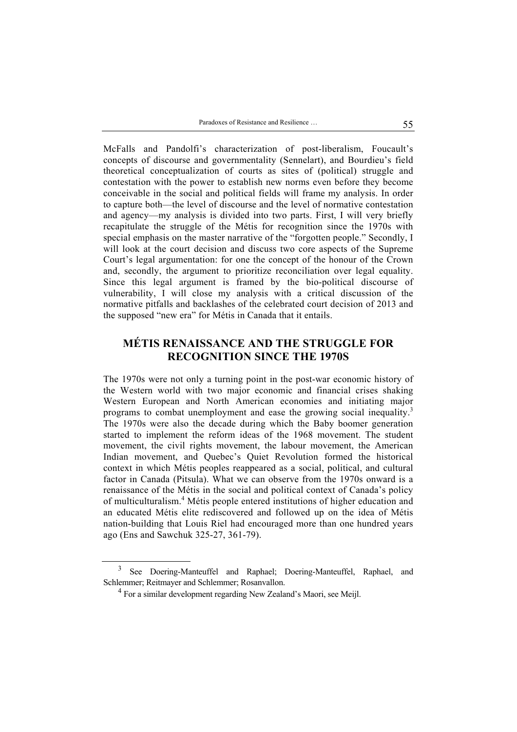McFalls and Pandolfi's characterization of post-liberalism, Foucault's concepts of discourse and governmentality (Sennelart), and Bourdieu's field theoretical conceptualization of courts as sites of (political) struggle and contestation with the power to establish new norms even before they become conceivable in the social and political fields will frame my analysis. In order to capture both—the level of discourse and the level of normative contestation and agency—my analysis is divided into two parts. First, I will very briefly recapitulate the struggle of the Métis for recognition since the 1970s with special emphasis on the master narrative of the "forgotten people." Secondly, I will look at the court decision and discuss two core aspects of the Supreme Court's legal argumentation: for one the concept of the honour of the Crown and, secondly, the argument to prioritize reconciliation over legal equality. Since this legal argument is framed by the bio-political discourse of vulnerability, I will close my analysis with a critical discussion of the normative pitfalls and backlashes of the celebrated court decision of 2013 and the supposed "new era" for Métis in Canada that it entails.

### **MÉTIS RENAISSANCE AND THE STRUGGLE FOR RECOGNITION SINCE THE 1970S**

The 1970s were not only a turning point in the post-war economic history of the Western world with two major economic and financial crises shaking Western European and North American economies and initiating major programs to combat unemployment and ease the growing social inequality.<sup>3</sup> The 1970s were also the decade during which the Baby boomer generation started to implement the reform ideas of the 1968 movement. The student movement, the civil rights movement, the labour movement, the American Indian movement, and Quebec's Quiet Revolution formed the historical context in which Métis peoples reappeared as a social, political, and cultural factor in Canada (Pitsula). What we can observe from the 1970s onward is a renaissance of the Métis in the social and political context of Canada's policy of multiculturalism.<sup>4</sup> Métis people entered institutions of higher education and an educated Métis elite rediscovered and followed up on the idea of Métis nation-building that Louis Riel had encouraged more than one hundred years ago (Ens and Sawchuk 325-27, 361-79).

<sup>3</sup> See Doering-Manteuffel and Raphael; Doering-Manteuffel, Raphael, and Schlemmer; Reitmayer and Schlemmer; Rosanvallon.

<sup>&</sup>lt;sup>4</sup> For a similar development regarding New Zealand's Maori, see Meijl.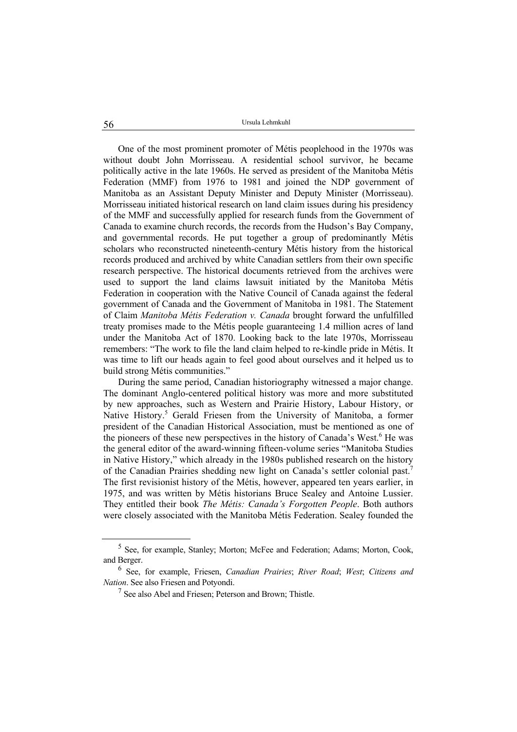One of the most prominent promoter of Métis peoplehood in the 1970s was without doubt John Morrisseau. A residential school survivor, he became politically active in the late 1960s. He served as president of the Manitoba Métis Federation (MMF) from 1976 to 1981 and joined the NDP government of Manitoba as an Assistant Deputy Minister and Deputy Minister (Morrisseau). Morrisseau initiated historical research on land claim issues during his presidency of the MMF and successfully applied for research funds from the Government of Canada to examine church records, the records from the Hudson's Bay Company, and governmental records. He put together a group of predominantly Métis scholars who reconstructed nineteenth-century Métis history from the historical records produced and archived by white Canadian settlers from their own specific research perspective. The historical documents retrieved from the archives were used to support the land claims lawsuit initiated by the Manitoba Métis Federation in cooperation with the Native Council of Canada against the federal government of Canada and the Government of Manitoba in 1981. The Statement of Claim *Manitoba Métis Federation v. Canada* brought forward the unfulfilled treaty promises made to the Métis people guaranteeing 1.4 million acres of land under the Manitoba Act of 1870. Looking back to the late 1970s, Morrisseau remembers: "The work to file the land claim helped to re-kindle pride in Métis. It was time to lift our heads again to feel good about ourselves and it helped us to build strong Métis communities."

During the same period, Canadian historiography witnessed a major change. The dominant Anglo-centered political history was more and more substituted by new approaches, such as Western and Prairie History, Labour History, or Native History.<sup>5</sup> Gerald Friesen from the University of Manitoba, a former president of the Canadian Historical Association, must be mentioned as one of the pioneers of these new perspectives in the history of Canada's West.<sup>6</sup> He was the general editor of the award-winning fifteen-volume series "Manitoba Studies in Native History," which already in the 1980s published research on the history of the Canadian Prairies shedding new light on Canada's settler colonial past.7 The first revisionist history of the Métis, however, appeared ten years earlier, in 1975, and was written by Métis historians Bruce Sealey and Antoine Lussier. They entitled their book *The Métis: Canada's Forgotten People*. Both authors were closely associated with the Manitoba Métis Federation. Sealey founded the

<sup>&</sup>lt;sup>5</sup> See, for example, Stanley; Morton; McFee and Federation; Adams; Morton, Cook, and Berger.

<sup>6</sup> See, for example, Friesen, *Canadian Prairies*; *River Road*; *West*; *Citizens and Nation*. See also Friesen and Potyondi.

<sup>7</sup> See also Abel and Friesen; Peterson and Brown; Thistle.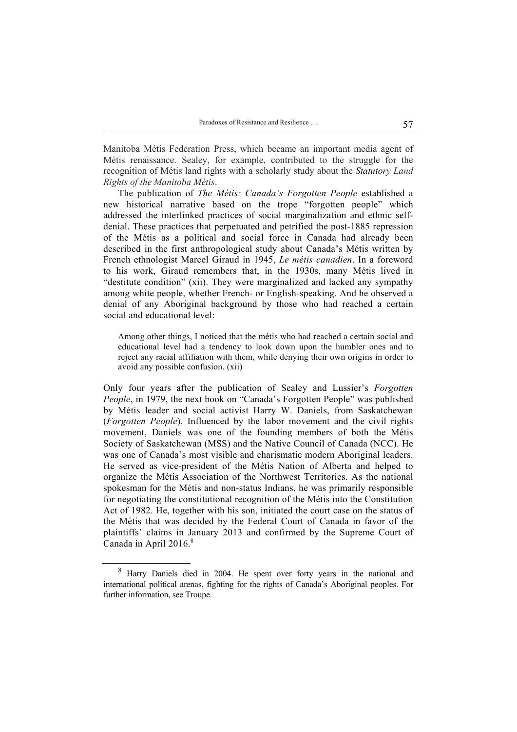Manitoba Métis Federation Press, which became an important media agent of Métis renaissance. Sealey, for example, contributed to the struggle for the recognition of Métis land rights with a scholarly study about the *Statutory Land Rights of the Manitoba Métis*.

The publication of *The Métis: Canada's Forgotten People* established a new historical narrative based on the trope "forgotten people" which addressed the interlinked practices of social marginalization and ethnic selfdenial. These practices that perpetuated and petrified the post-1885 repression of the Métis as a political and social force in Canada had already been described in the first anthropological study about Canada's Métis written by French ethnologist Marcel Giraud in 1945, *Le métis canadien*. In a foreword to his work, Giraud remembers that, in the 1930s, many Métis lived in "destitute condition" (xii). They were marginalized and lacked any sympathy among white people, whether French- or English-speaking. And he observed a denial of any Aboriginal background by those who had reached a certain social and educational level:

Among other things, I noticed that the métis who had reached a certain social and educational level had a tendency to look down upon the humbler ones and to reject any racial affiliation with them, while denying their own origins in order to avoid any possible confusion. (xii)

Only four years after the publication of Sealey and Lussier's *Forgotten People*, in 1979, the next book on "Canada's Forgotten People" was published by Métis leader and social activist Harry W. Daniels, from Saskatchewan (*Forgotten People*). Influenced by the labor movement and the civil rights movement, Daniels was one of the founding members of both the Métis Society of Saskatchewan (MSS) and the Native Council of Canada (NCC). He was one of Canada's most visible and charismatic modern Aboriginal leaders. He served as vice-president of the Métis Nation of Alberta and helped to organize the Métis Association of the Northwest Territories. As the national spokesman for the Métis and non-status Indians, he was primarily responsible for negotiating the constitutional recognition of the Métis into the Constitution Act of 1982. He, together with his son, initiated the court case on the status of the Métis that was decided by the Federal Court of Canada in favor of the plaintiffs' claims in January 2013 and confirmed by the Supreme Court of Canada in April 2016.<sup>8</sup>

<sup>&</sup>lt;sup>8</sup> Harry Daniels died in 2004. He spent over forty years in the national and international political arenas, fighting for the rights of Canada's Aboriginal peoples. For further information, see Troupe.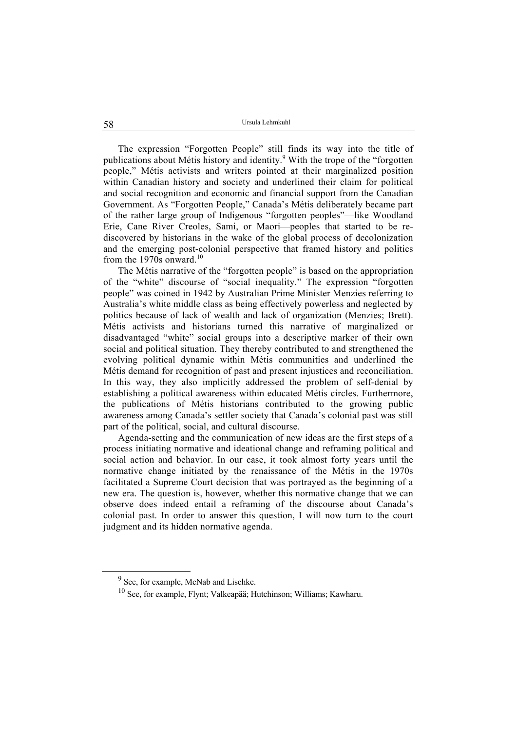The expression "Forgotten People" still finds its way into the title of publications about Métis history and identity.<sup>9</sup> With the trope of the "forgotten people," Métis activists and writers pointed at their marginalized position within Canadian history and society and underlined their claim for political and social recognition and economic and financial support from the Canadian Government. As "Forgotten People," Canada's Métis deliberately became part of the rather large group of Indigenous "forgotten peoples"—like Woodland Erie, Cane River Creoles, Sami, or Maori—peoples that started to be rediscovered by historians in the wake of the global process of decolonization and the emerging post-colonial perspective that framed history and politics from the 1970s onward  $10$ 

The Métis narrative of the "forgotten people" is based on the appropriation of the "white" discourse of "social inequality." The expression "forgotten people" was coined in 1942 by Australian Prime Minister Menzies referring to Australia's white middle class as being effectively powerless and neglected by politics because of lack of wealth and lack of organization (Menzies; Brett). Métis activists and historians turned this narrative of marginalized or disadvantaged "white" social groups into a descriptive marker of their own social and political situation. They thereby contributed to and strengthened the evolving political dynamic within Métis communities and underlined the Métis demand for recognition of past and present injustices and reconciliation. In this way, they also implicitly addressed the problem of self-denial by establishing a political awareness within educated Métis circles. Furthermore, the publications of Métis historians contributed to the growing public awareness among Canada's settler society that Canada's colonial past was still part of the political, social, and cultural discourse.

Agenda-setting and the communication of new ideas are the first steps of a process initiating normative and ideational change and reframing political and social action and behavior. In our case, it took almost forty years until the normative change initiated by the renaissance of the Métis in the 1970s facilitated a Supreme Court decision that was portrayed as the beginning of a new era. The question is, however, whether this normative change that we can observe does indeed entail a reframing of the discourse about Canada's colonial past. In order to answer this question, I will now turn to the court judgment and its hidden normative agenda.

<sup>&</sup>lt;sup>9</sup> See, for example, McNab and Lischke.

<sup>10</sup> See, for example, Flynt; Valkeapää; Hutchinson; Williams; Kawharu.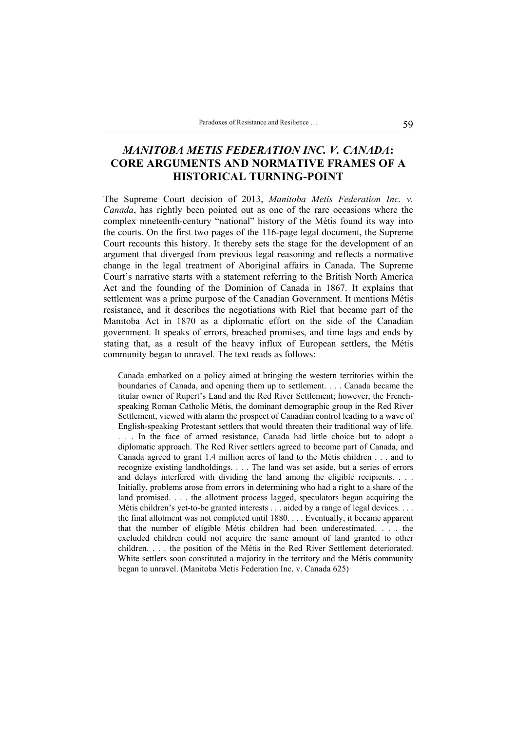# *MANITOBA METIS FEDERATION INC. V. CANADA***: CORE ARGUMENTS AND NORMATIVE FRAMES OF A HISTORICAL TURNING-POINT**

The Supreme Court decision of 2013, *Manitoba Metis Federation Inc. v. Canada*, has rightly been pointed out as one of the rare occasions where the complex nineteenth-century "national" history of the Métis found its way into the courts. On the first two pages of the 116-page legal document, the Supreme Court recounts this history. It thereby sets the stage for the development of an argument that diverged from previous legal reasoning and reflects a normative change in the legal treatment of Aboriginal affairs in Canada. The Supreme Court's narrative starts with a statement referring to the British North America Act and the founding of the Dominion of Canada in 1867. It explains that settlement was a prime purpose of the Canadian Government. It mentions Métis resistance, and it describes the negotiations with Riel that became part of the Manitoba Act in 1870 as a diplomatic effort on the side of the Canadian government. It speaks of errors, breached promises, and time lags and ends by stating that, as a result of the heavy influx of European settlers, the Métis community began to unravel. The text reads as follows:

Canada embarked on a policy aimed at bringing the western territories within the boundaries of Canada, and opening them up to settlement. . . . Canada became the titular owner of Rupert's Land and the Red River Settlement; however, the Frenchspeaking Roman Catholic Métis, the dominant demographic group in the Red River Settlement, viewed with alarm the prospect of Canadian control leading to a wave of English-speaking Protestant settlers that would threaten their traditional way of life. . . . In the face of armed resistance, Canada had little choice but to adopt a diplomatic approach. The Red River settlers agreed to become part of Canada, and Canada agreed to grant 1.4 million acres of land to the Métis children . . . and to recognize existing landholdings. . . . The land was set aside, but a series of errors and delays interfered with dividing the land among the eligible recipients. . . . Initially, problems arose from errors in determining who had a right to a share of the land promised. . . . the allotment process lagged, speculators began acquiring the Métis children's yet-to-be granted interests . . . aided by a range of legal devices. . . . the final allotment was not completed until 1880. . . . Eventually, it became apparent that the number of eligible Métis children had been underestimated. . . . the excluded children could not acquire the same amount of land granted to other children. . . . the position of the Métis in the Red River Settlement deteriorated. White settlers soon constituted a majority in the territory and the Métis community began to unravel. (Manitoba Metis Federation Inc. v. Canada 625)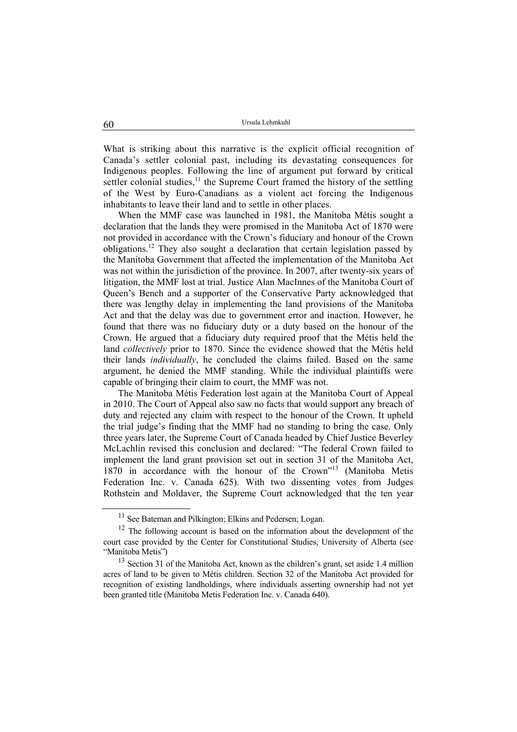What is striking about this narrative is the explicit official recognition of Canada's settler colonial past, including its devastating consequences for Indigenous peoples. Following the line of argument put forward by critical settler colonial studies, $<sup>11</sup>$  the Supreme Court framed the history of the settling</sup> of the West by Euro-Canadians as a violent act forcing the Indigenous inhabitants to leave their land and to settle in other places.

When the MMF case was launched in 1981, the Manitoba Métis sought a declaration that the lands they were promised in the Manitoba Act of 1870 were not provided in accordance with the Crown's fiduciary and honour of the Crown  $obli$ <sup>12</sup> They also sought a declaration that certain legislation passed by the Manitoba Government that affected the implementation of the Manitoba Act was not within the jurisdiction of the province. In 2007, after twenty-six years of litigation, the MMF lost at trial. Justice Alan MacInnes of the Manitoba Court of Queen's Bench and a supporter of the Conservative Party acknowledged that there was lengthy delay in implementing the land provisions of the Manitoba Act and that the delay was due to government error and inaction. However, he found that there was no fiduciary duty or a duty based on the honour of the Crown. He argued that a fiduciary duty required proof that the Métis held the land *collectively* prior to 1870. Since the evidence showed that the Métis held their lands *individually*, he concluded the claims failed. Based on the same argument, he denied the MMF standing. While the individual plaintiffs were capable of bringing their claim to court, the MMF was not.

The Manitoba Métis Federation lost again at the Manitoba Court of Appeal in 2010. The Court of Appeal also saw no facts that would support any breach of duty and rejected any claim with respect to the honour of the Crown. It upheld the trial judge's finding that the MMF had no standing to bring the case. Only three years later, the Supreme Court of Canada headed by Chief Justice Beverley McLachlin revised this conclusion and declared: "The federal Crown failed to implement the land grant provision set out in section 31 of the Manitoba Act, 1870 in accordance with the honour of the Crown"13 (Manitoba Metis Federation Inc. v. Canada 625). With two dissenting votes from Judges Rothstein and Moldaver, the Supreme Court acknowledged that the ten year

<sup>&</sup>lt;sup>11</sup> See Bateman and Pilkington; Elkins and Pedersen; Logan.

 $12$  The following account is based on the information about the development of the court case provided by the Center for Constitutional Studies, University of Alberta (see "Manitoba Metis")

<sup>&</sup>lt;sup>13</sup> Section 31 of the Manitoba Act, known as the children's grant, set aside 1.4 million acres of land to be given to Métis children. Section 32 of the Manitoba Act provided for recognition of existing landholdings, where individuals asserting ownership had not yet been granted title (Manitoba Metis Federation Inc. v. Canada 640).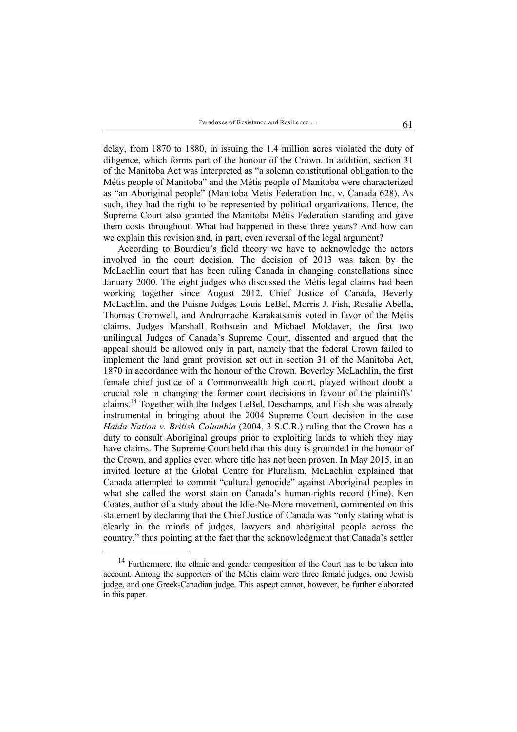delay, from 1870 to 1880, in issuing the 1.4 million acres violated the duty of diligence, which forms part of the honour of the Crown. In addition, section 31 of the Manitoba Act was interpreted as "a solemn constitutional obligation to the Métis people of Manitoba" and the Métis people of Manitoba were characterized as "an Aboriginal people" (Manitoba Metis Federation Inc. v. Canada 628). As such, they had the right to be represented by political organizations. Hence, the Supreme Court also granted the Manitoba Métis Federation standing and gave them costs throughout. What had happened in these three years? And how can we explain this revision and, in part, even reversal of the legal argument?

According to Bourdieu's field theory we have to acknowledge the actors involved in the court decision. The decision of 2013 was taken by the McLachlin court that has been ruling Canada in changing constellations since January 2000. The eight judges who discussed the Métis legal claims had been working together since August 2012. Chief Justice of Canada, Beverly McLachlin, and the Puisne Judges Louis LeBel, Morris J. Fish, Rosalie Abella, Thomas Cromwell, and Andromache Karakatsanis voted in favor of the Métis claims. Judges Marshall Rothstein and Michael Moldaver, the first two unilingual Judges of Canada's Supreme Court, dissented and argued that the appeal should be allowed only in part, namely that the federal Crown failed to implement the land grant provision set out in section 31 of the Manitoba Act, 1870 in accordance with the honour of the Crown. Beverley McLachlin, the first female chief justice of a Commonwealth high court, played without doubt a crucial role in changing the former court decisions in favour of the plaintiffs' claims.14 Together with the Judges LeBel, Deschamps, and Fish she was already instrumental in bringing about the 2004 Supreme Court decision in the case *Haida Nation v. British Columbia* (2004, 3 S.C.R.) ruling that the Crown has a duty to consult Aboriginal groups prior to exploiting lands to which they may have claims. The Supreme Court held that this duty is grounded in the honour of the Crown, and applies even where title has not been proven. In May 2015, in an invited lecture at the Global Centre for Pluralism, McLachlin explained that Canada attempted to commit "cultural genocide" against Aboriginal peoples in what she called the worst stain on Canada's human-rights record (Fine). Ken Coates, author of a study about the Idle-No-More movement, commented on this statement by declaring that the Chief Justice of Canada was "only stating what is clearly in the minds of judges, lawyers and aboriginal people across the country," thus pointing at the fact that the acknowledgment that Canada's settler

<sup>&</sup>lt;sup>14</sup> Furthermore, the ethnic and gender composition of the Court has to be taken into account. Among the supporters of the Métis claim were three female judges, one Jewish judge, and one Greek-Canadian judge. This aspect cannot, however, be further elaborated in this paper.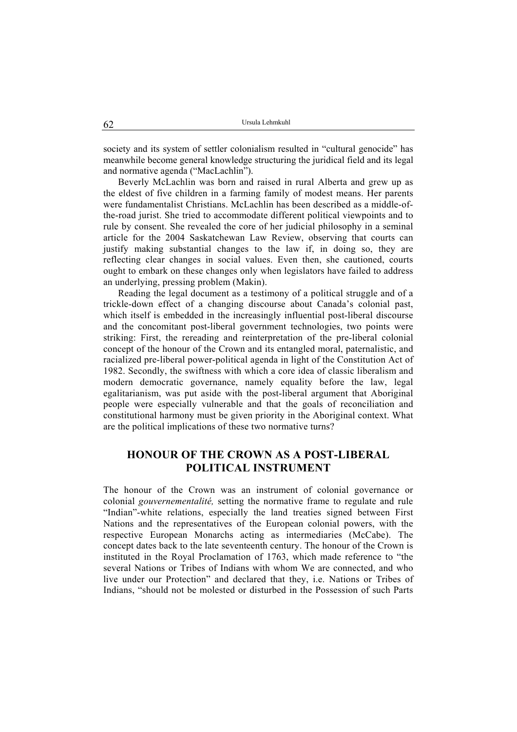society and its system of settler colonialism resulted in "cultural genocide" has meanwhile become general knowledge structuring the juridical field and its legal and normative agenda ("MacLachlin").

Beverly McLachlin was born and raised in rural Alberta and grew up as the eldest of five children in a farming family of modest means. Her parents were fundamentalist Christians. McLachlin has been described as a middle-ofthe-road jurist. She tried to accommodate different political viewpoints and to rule by consent. She revealed the core of her judicial philosophy in a seminal article for the 2004 Saskatchewan Law Review, observing that courts can justify making substantial changes to the law if, in doing so, they are reflecting clear changes in social values. Even then, she cautioned, courts ought to embark on these changes only when legislators have failed to address an underlying, pressing problem (Makin).

Reading the legal document as a testimony of a political struggle and of a trickle-down effect of a changing discourse about Canada's colonial past, which itself is embedded in the increasingly influential post-liberal discourse and the concomitant post-liberal government technologies, two points were striking: First, the rereading and reinterpretation of the pre-liberal colonial concept of the honour of the Crown and its entangled moral, paternalistic, and racialized pre-liberal power-political agenda in light of the Constitution Act of 1982. Secondly, the swiftness with which a core idea of classic liberalism and modern democratic governance, namely equality before the law, legal egalitarianism, was put aside with the post-liberal argument that Aboriginal people were especially vulnerable and that the goals of reconciliation and constitutional harmony must be given priority in the Aboriginal context. What are the political implications of these two normative turns?

### **HONOUR OF THE CROWN AS A POST-LIBERAL POLITICAL INSTRUMENT**

The honour of the Crown was an instrument of colonial governance or colonial *gouvernementalité,* setting the normative frame to regulate and rule "Indian"-white relations, especially the land treaties signed between First Nations and the representatives of the European colonial powers, with the respective European Monarchs acting as intermediaries (McCabe). The concept dates back to the late seventeenth century. The honour of the Crown is instituted in the Royal Proclamation of 1763, which made reference to "the several Nations or Tribes of Indians with whom We are connected, and who live under our Protection" and declared that they, i.e. Nations or Tribes of Indians, "should not be molested or disturbed in the Possession of such Parts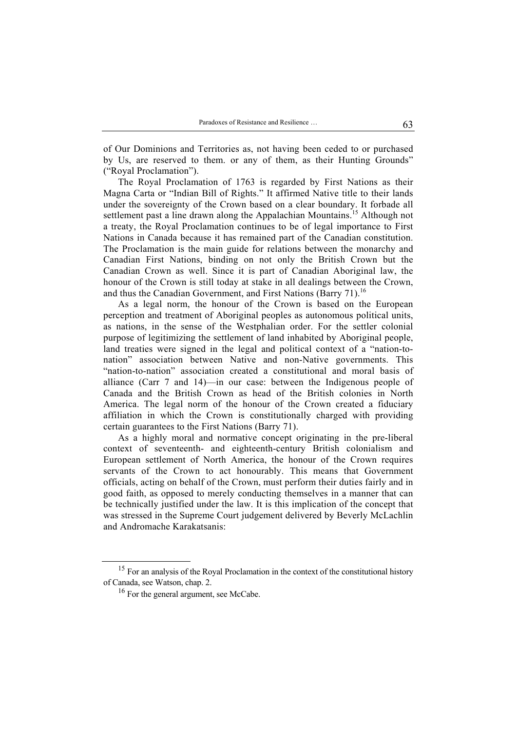of Our Dominions and Territories as, not having been ceded to or purchased by Us, are reserved to them. or any of them, as their Hunting Grounds" ("Royal Proclamation").

The Royal Proclamation of 1763 is regarded by First Nations as their Magna Carta or "Indian Bill of Rights." It affirmed Native title to their lands under the sovereignty of the Crown based on a clear boundary. It forbade all settlement past a line drawn along the Appalachian Mountains.<sup>15</sup> Although not a treaty, the Royal Proclamation continues to be of legal importance to First Nations in Canada because it has remained part of the Canadian constitution. The Proclamation is the main guide for relations between the monarchy and Canadian First Nations, binding on not only the British Crown but the Canadian Crown as well. Since it is part of Canadian Aboriginal law, the honour of the Crown is still today at stake in all dealings between the Crown, and thus the Canadian Government, and First Nations (Barry 71).<sup>16</sup>

As a legal norm, the honour of the Crown is based on the European perception and treatment of Aboriginal peoples as autonomous political units, as nations, in the sense of the Westphalian order. For the settler colonial purpose of legitimizing the settlement of land inhabited by Aboriginal people, land treaties were signed in the legal and political context of a "nation-tonation" association between Native and non-Native governments. This "nation-to-nation" association created a constitutional and moral basis of alliance (Carr 7 and 14)—in our case: between the Indigenous people of Canada and the British Crown as head of the British colonies in North America. The legal norm of the honour of the Crown created a fiduciary affiliation in which the Crown is constitutionally charged with providing certain guarantees to the First Nations (Barry 71).

As a highly moral and normative concept originating in the pre-liberal context of seventeenth- and eighteenth-century British colonialism and European settlement of North America, the honour of the Crown requires servants of the Crown to act honourably. This means that Government officials, acting on behalf of the Crown, must perform their duties fairly and in good faith, as opposed to merely conducting themselves in a manner that can be technically justified under the law. It is this implication of the concept that was stressed in the Supreme Court judgement delivered by Beverly McLachlin and Andromache Karakatsanis:

<sup>&</sup>lt;sup>15</sup> For an analysis of the Royal Proclamation in the context of the constitutional history of Canada, see Watson, chap. 2.

<sup>&</sup>lt;sup>16</sup> For the general argument, see McCabe.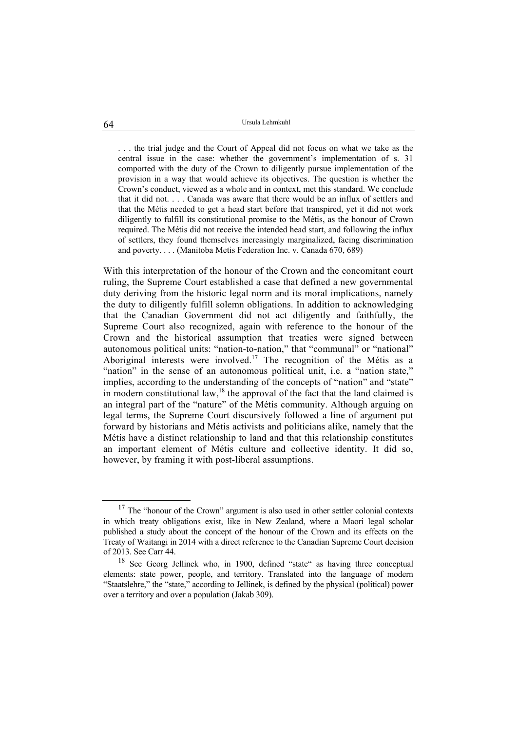. . . the trial judge and the Court of Appeal did not focus on what we take as the central issue in the case: whether the government's implementation of s. 31 comported with the duty of the Crown to diligently pursue implementation of the provision in a way that would achieve its objectives. The question is whether the Crown's conduct, viewed as a whole and in context, met this standard. We conclude that it did not. . . . Canada was aware that there would be an influx of settlers and that the Métis needed to get a head start before that transpired, yet it did not work diligently to fulfill its constitutional promise to the Métis, as the honour of Crown required. The Métis did not receive the intended head start, and following the influx of settlers, they found themselves increasingly marginalized, facing discrimination and poverty. . . . (Manitoba Metis Federation Inc. v. Canada 670, 689)

With this interpretation of the honour of the Crown and the concomitant court ruling, the Supreme Court established a case that defined a new governmental duty deriving from the historic legal norm and its moral implications, namely the duty to diligently fulfill solemn obligations. In addition to acknowledging that the Canadian Government did not act diligently and faithfully, the Supreme Court also recognized, again with reference to the honour of the Crown and the historical assumption that treaties were signed between autonomous political units: "nation-to-nation," that "communal" or "national" Aboriginal interests were involved.<sup>17</sup> The recognition of the Métis as a "nation" in the sense of an autonomous political unit, i.e. a "nation state," implies, according to the understanding of the concepts of "nation" and "state" in modern constitutional law,<sup>18</sup> the approval of the fact that the land claimed is an integral part of the "nature" of the Métis community. Although arguing on legal terms, the Supreme Court discursively followed a line of argument put forward by historians and Métis activists and politicians alike, namely that the Métis have a distinct relationship to land and that this relationship constitutes an important element of Métis culture and collective identity. It did so, however, by framing it with post-liberal assumptions.

<sup>&</sup>lt;sup>17</sup> The "honour of the Crown" argument is also used in other settler colonial contexts in which treaty obligations exist, like in New Zealand, where a Maori legal scholar published a study about the concept of the honour of the Crown and its effects on the Treaty of Waitangi in 2014 with a direct reference to the Canadian Supreme Court decision of 2013. See Carr 44.

<sup>&</sup>lt;sup>18</sup> See Georg Jellinek who, in 1900, defined "state" as having three conceptual elements: state power, people, and territory. Translated into the language of modern "Staatslehre," the "state," according to Jellinek, is defined by the physical (political) power over a territory and over a population (Jakab 309).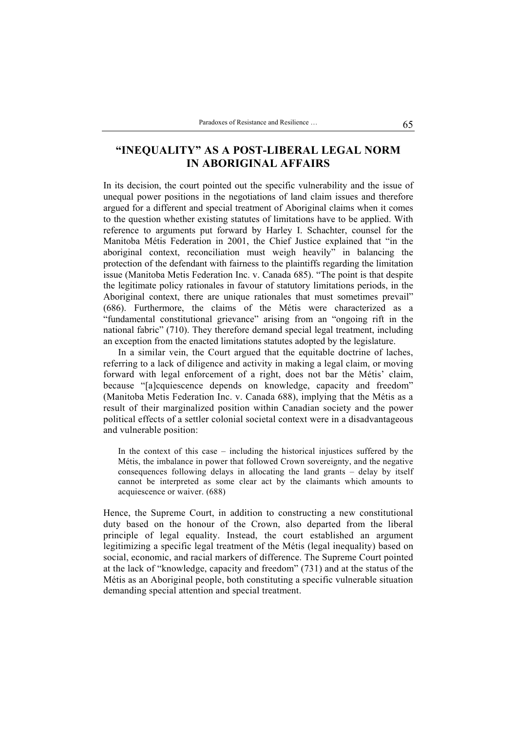# **"INEQUALITY" AS A POST-LIBERAL LEGAL NORM IN ABORIGINAL AFFAIRS**

In its decision, the court pointed out the specific vulnerability and the issue of unequal power positions in the negotiations of land claim issues and therefore argued for a different and special treatment of Aboriginal claims when it comes to the question whether existing statutes of limitations have to be applied. With reference to arguments put forward by Harley I. Schachter, counsel for the Manitoba Métis Federation in 2001, the Chief Justice explained that "in the aboriginal context, reconciliation must weigh heavily" in balancing the protection of the defendant with fairness to the plaintiffs regarding the limitation issue (Manitoba Metis Federation Inc. v. Canada 685). "The point is that despite the legitimate policy rationales in favour of statutory limitations periods, in the Aboriginal context, there are unique rationales that must sometimes prevail" (686). Furthermore, the claims of the Métis were characterized as a "fundamental constitutional grievance" arising from an "ongoing rift in the national fabric" (710). They therefore demand special legal treatment, including an exception from the enacted limitations statutes adopted by the legislature.

In a similar vein, the Court argued that the equitable doctrine of laches, referring to a lack of diligence and activity in making a legal claim, or moving forward with legal enforcement of a right, does not bar the Métis' claim, because "[a]cquiescence depends on knowledge, capacity and freedom" (Manitoba Metis Federation Inc. v. Canada 688), implying that the Métis as a result of their marginalized position within Canadian society and the power political effects of a settler colonial societal context were in a disadvantageous and vulnerable position:

In the context of this case – including the historical injustices suffered by the Métis, the imbalance in power that followed Crown sovereignty, and the negative consequences following delays in allocating the land grants – delay by itself cannot be interpreted as some clear act by the claimants which amounts to acquiescence or waiver. (688)

Hence, the Supreme Court, in addition to constructing a new constitutional duty based on the honour of the Crown, also departed from the liberal principle of legal equality. Instead, the court established an argument legitimizing a specific legal treatment of the Métis (legal inequality) based on social, economic, and racial markers of difference. The Supreme Court pointed at the lack of "knowledge, capacity and freedom" (731) and at the status of the Métis as an Aboriginal people, both constituting a specific vulnerable situation demanding special attention and special treatment.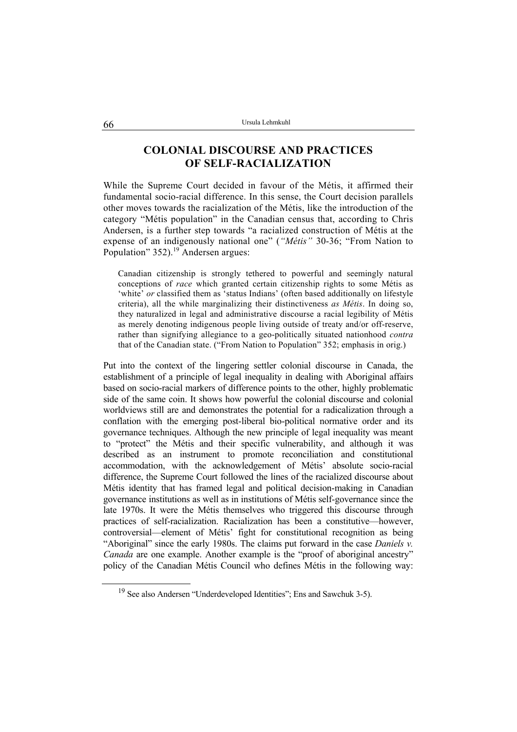### **COLONIAL DISCOURSE AND PRACTICES OF SELF-RACIALIZATION**

While the Supreme Court decided in favour of the Métis, it affirmed their fundamental socio-racial difference. In this sense, the Court decision parallels other moves towards the racialization of the Métis, like the introduction of the category "Métis population" in the Canadian census that, according to Chris Andersen, is a further step towards "a racialized construction of Métis at the expense of an indigenously national one" (*"Métis"* 30-36; "From Nation to Population" 352).<sup>19</sup> Andersen argues:

Canadian citizenship is strongly tethered to powerful and seemingly natural conceptions of *race* which granted certain citizenship rights to some Métis as 'white' *or* classified them as 'status Indians' (often based additionally on lifestyle criteria), all the while marginalizing their distinctiveness *as Métis*. In doing so, they naturalized in legal and administrative discourse a racial legibility of Métis as merely denoting indigenous people living outside of treaty and/or off-reserve, rather than signifying allegiance to a geo-politically situated nationhood *contra* that of the Canadian state. ("From Nation to Population" 352; emphasis in orig.)

Put into the context of the lingering settler colonial discourse in Canada, the establishment of a principle of legal inequality in dealing with Aboriginal affairs based on socio-racial markers of difference points to the other, highly problematic side of the same coin. It shows how powerful the colonial discourse and colonial worldviews still are and demonstrates the potential for a radicalization through a conflation with the emerging post-liberal bio-political normative order and its governance techniques. Although the new principle of legal inequality was meant to "protect" the Métis and their specific vulnerability, and although it was described as an instrument to promote reconciliation and constitutional accommodation, with the acknowledgement of Métis' absolute socio-racial difference, the Supreme Court followed the lines of the racialized discourse about Métis identity that has framed legal and political decision-making in Canadian governance institutions as well as in institutions of Métis self-governance since the late 1970s. It were the Métis themselves who triggered this discourse through practices of self-racialization. Racialization has been a constitutive—however, controversial—element of Métis' fight for constitutional recognition as being "Aboriginal" since the early 1980s. The claims put forward in the case *Daniels v. Canada* are one example. Another example is the "proof of aboriginal ancestry" policy of the Canadian Métis Council who defines Métis in the following way:

<sup>19</sup> See also Andersen "Underdeveloped Identities"; Ens and Sawchuk 3-5).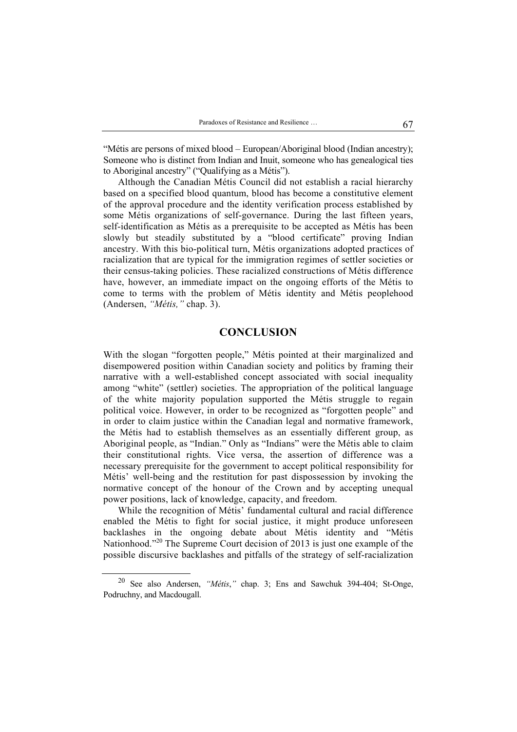"Métis are persons of mixed blood – European/Aboriginal blood (Indian ancestry); Someone who is distinct from Indian and Inuit, someone who has genealogical ties to Aboriginal ancestry" ("Qualifying as a Métis").

Although the Canadian Métis Council did not establish a racial hierarchy based on a specified blood quantum, blood has become a constitutive element of the approval procedure and the identity verification process established by some Métis organizations of self-governance. During the last fifteen years, self-identification as Métis as a prerequisite to be accepted as Métis has been slowly but steadily substituted by a "blood certificate" proving Indian ancestry. With this bio-political turn, Métis organizations adopted practices of racialization that are typical for the immigration regimes of settler societies or their census-taking policies. These racialized constructions of Métis difference have, however, an immediate impact on the ongoing efforts of the Métis to come to terms with the problem of Métis identity and Métis peoplehood (Andersen, *"Métis,"* chap. 3).

### **CONCLUSION**

With the slogan "forgotten people," Métis pointed at their marginalized and disempowered position within Canadian society and politics by framing their narrative with a well-established concept associated with social inequality among "white" (settler) societies. The appropriation of the political language of the white majority population supported the Métis struggle to regain political voice. However, in order to be recognized as "forgotten people" and in order to claim justice within the Canadian legal and normative framework, the Métis had to establish themselves as an essentially different group, as Aboriginal people, as "Indian." Only as "Indians" were the Métis able to claim their constitutional rights. Vice versa, the assertion of difference was a necessary prerequisite for the government to accept political responsibility for Métis' well-being and the restitution for past dispossession by invoking the normative concept of the honour of the Crown and by accepting unequal power positions, lack of knowledge, capacity, and freedom.

While the recognition of Métis' fundamental cultural and racial difference enabled the Métis to fight for social justice, it might produce unforeseen backlashes in the ongoing debate about Métis identity and "Métis Nationhood."<sup>20</sup> The Supreme Court decision of 2013 is just one example of the possible discursive backlashes and pitfalls of the strategy of self-racialization

<sup>20</sup> See also Andersen, *"Métis*,*"* chap. 3; Ens and Sawchuk 394-404; St-Onge, Podruchny, and Macdougall.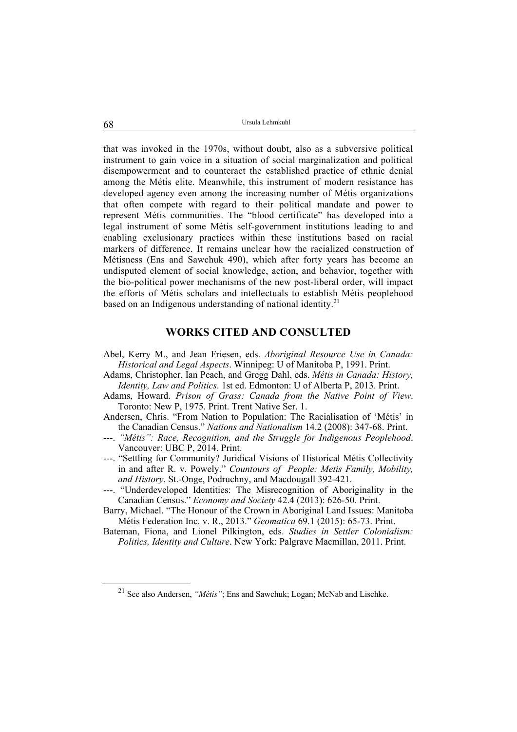that was invoked in the 1970s, without doubt, also as a subversive political instrument to gain voice in a situation of social marginalization and political disempowerment and to counteract the established practice of ethnic denial among the Métis elite. Meanwhile, this instrument of modern resistance has developed agency even among the increasing number of Métis organizations that often compete with regard to their political mandate and power to represent Métis communities. The "blood certificate" has developed into a legal instrument of some Métis self-government institutions leading to and enabling exclusionary practices within these institutions based on racial markers of difference. It remains unclear how the racialized construction of Métisness (Ens and Sawchuk 490), which after forty years has become an undisputed element of social knowledge, action, and behavior, together with the bio-political power mechanisms of the new post-liberal order, will impact the efforts of Métis scholars and intellectuals to establish Métis peoplehood based on an Indigenous understanding of national identity.<sup>21</sup>

### **WORKS CITED AND CONSULTED**

- Abel, Kerry M., and Jean Friesen, eds. *Aboriginal Resource Use in Canada: Historical and Legal Aspects*. Winnipeg: U of Manitoba P, 1991. Print.
- Adams, Christopher, Ian Peach, and Gregg Dahl, eds. *Métis in Canada: History, Identity, Law and Politics*. 1st ed. Edmonton: U of Alberta P, 2013. Print.
- Adams, Howard. *Prison of Grass: Canada from the Native Point of View*. Toronto: New P, 1975. Print. Trent Native Ser. 1.
- Andersen, Chris. "From Nation to Population: The Racialisation of 'Métis' in the Canadian Census." *Nations and Nationalism* 14.2 (2008): 347-68. Print.
- ---. *"Métis": Race, Recognition, and the Struggle for Indigenous Peoplehood*. Vancouver: UBC P, 2014. Print.
- ---. "Settling for Community? Juridical Visions of Historical Métis Collectivity in and after R. v. Powely." *Countours of People: Metis Family, Mobility, and History*. St.-Onge, Podruchny, and Macdougall 392-421.
- ---. "Underdeveloped Identities: The Misrecognition of Aboriginality in the Canadian Census." *Economy and Society* 42.4 (2013): 626-50. Print.
- Barry, Michael. "The Honour of the Crown in Aboriginal Land Issues: Manitoba Métis Federation Inc. v. R., 2013." *Geomatica* 69.1 (2015): 65-73. Print.
- Bateman, Fiona, and Lionel Pilkington, eds. *Studies in Settler Colonialism: Politics, Identity and Culture*. New York: Palgrave Macmillan, 2011. Print.

<sup>&</sup>lt;sup>21</sup> See also Andersen, *"Métis"*; Ens and Sawchuk; Logan; McNab and Lischke.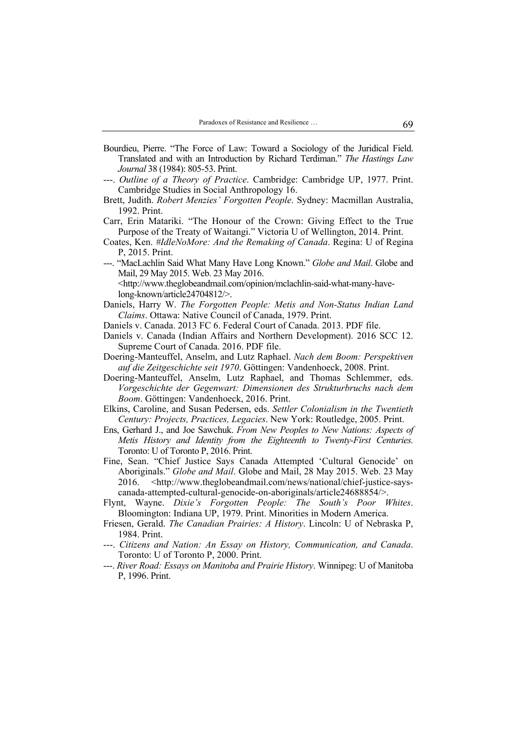- Bourdieu, Pierre. "The Force of Law: Toward a Sociology of the Juridical Field. Translated and with an Introduction by Richard Terdiman." *The Hastings Law Journal* 38 (1984): 805-53. Print.
- ---. *Outline of a Theory of Practice*. Cambridge: Cambridge UP, 1977. Print. Cambridge Studies in Social Anthropology 16.
- Brett, Judith. *Robert Menzies' Forgotten People*. Sydney: Macmillan Australia, 1992. Print.
- Carr, Erin Matariki. "The Honour of the Crown: Giving Effect to the True Purpose of the Treaty of Waitangi." Victoria U of Wellington, 2014. Print.
- Coates, Ken. *#IdleNoMore: And the Remaking of Canada*. Regina: U of Regina P, 2015. Print.
- ---. "MacLachlin Said What Many Have Long Known." *Globe and Mail*. Globe and Mail, 29 May 2015. Web. 23 May 2016.
	- <http://www.theglobeandmail.com/opinion/mclachlin-said-what-many-havelong-known/article24704812/>.
- Daniels, Harry W. *The Forgotten People: Metis and Non-Status Indian Land Claims*. Ottawa: Native Council of Canada, 1979. Print.
- Daniels v. Canada. 2013 FC 6. Federal Court of Canada. 2013. PDF file.
- Daniels v. Canada (Indian Affairs and Northern Development). 2016 SCC 12. Supreme Court of Canada. 2016. PDF file.
- Doering-Manteuffel, Anselm, and Lutz Raphael. *Nach dem Boom: Perspektiven auf die Zeitgeschichte seit 1970*. Göttingen: Vandenhoeck, 2008. Print.
- Doering-Manteuffel, Anselm, Lutz Raphael, and Thomas Schlemmer, eds. *Vorgeschichte der Gegenwart: Dimensionen des Strukturbruchs nach dem Boom*. Göttingen: Vandenhoeck, 2016. Print.
- Elkins, Caroline, and Susan Pedersen, eds. *Settler Colonialism in the Twentieth Century: Projects, Practices, Legacies*. New York: Routledge, 2005. Print.
- Ens, Gerhard J., and Joe Sawchuk. *From New Peoples to New Nations: Aspects of Metis History and Identity from the Eighteenth to Twenty-First Centuries.*  Toronto: U of Toronto P, 2016. Print.
- Fine, Sean. "Chief Justice Says Canada Attempted 'Cultural Genocide' on Aboriginals." *Globe and Mail*. Globe and Mail, 28 May 2015. Web. 23 May 2016. <http://www.theglobeandmail.com/news/national/chief-justice-sayscanada-attempted-cultural-genocide-on-aboriginals/article24688854/>.
- Flynt, Wayne. *Dixie's Forgotten People: The South's Poor Whites*. Bloomington: Indiana UP, 1979. Print. Minorities in Modern America.
- Friesen, Gerald. *The Canadian Prairies: A History*. Lincoln: U of Nebraska P, 1984. Print.
- ---. *Citizens and Nation: An Essay on History, Communication, and Canada*. Toronto: U of Toronto P, 2000. Print.
- ---. *River Road: Essays on Manitoba and Prairie History*. Winnipeg: U of Manitoba P, 1996. Print.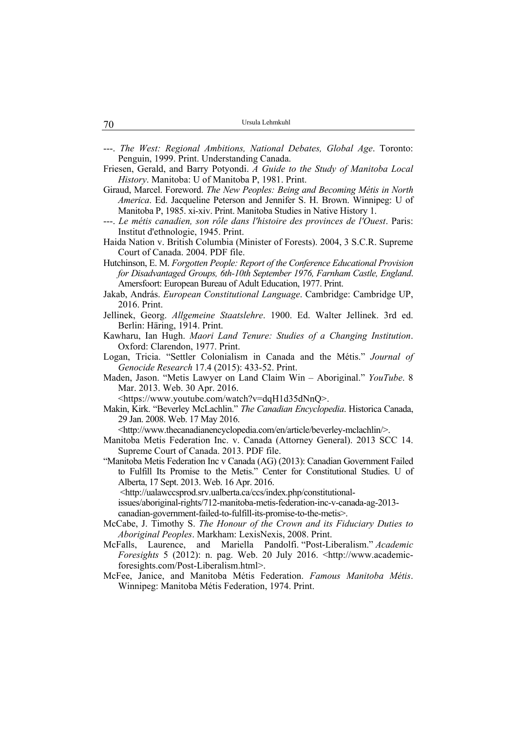| 70 | Ursula Lehmkuhl |
|----|-----------------|
|----|-----------------|

- ---. *The West: Regional Ambitions, National Debates, Global Age*. Toronto: Penguin, 1999. Print. Understanding Canada.
- Friesen, Gerald, and Barry Potyondi. *A Guide to the Study of Manitoba Local History*. Manitoba: U of Manitoba P, 1981. Print.
- Giraud, Marcel. Foreword. *The New Peoples: Being and Becoming Métis in North America*. Ed. Jacqueline Peterson and Jennifer S. H. Brown. Winnipeg: U of Manitoba P, 1985. xi-xiv. Print. Manitoba Studies in Native History 1.
- ---. *Le métis canadien, son rôle dans l'histoire des provinces de l'Ouest*. Paris: Institut d'ethnologie, 1945. Print.
- Haida Nation v. British Columbia (Minister of Forests). 2004, 3 S.C.R. Supreme Court of Canada. 2004. PDF file.
- Hutchinson, E. M. *Forgotten People: Report of the Conference Educational Provision for Disadvantaged Groups, 6th-10th September 1976, Farnham Castle, England*. Amersfoort: European Bureau of Adult Education, 1977. Print.
- Jakab, András. *European Constitutional Language*. Cambridge: Cambridge UP, 2016. Print.
- Jellinek, Georg. *Allgemeine Staatslehre*. 1900. Ed. Walter Jellinek. 3rd ed. Berlin: Häring, 1914. Print.
- Kawharu, Ian Hugh. *Maori Land Tenure: Studies of a Changing Institution*. Oxford: Clarendon, 1977. Print.
- Logan, Tricia. "Settler Colonialism in Canada and the Métis." *Journal of Genocide Research* 17.4 (2015): 433-52. Print.
- Maden, Jason. "Metis Lawyer on Land Claim Win Aboriginal." *YouTube*. 8 Mar. 2013. Web. 30 Apr. 2016.
	- <https://www.youtube.com/watch?v=dqH1d35dNnQ>.
- Makin, Kirk. "Beverley McLachlin." *The Canadian Encyclopedia*. Historica Canada, 29 Jan. 2008. Web. 17 May 2016.

<http://www.thecanadianencyclopedia.com/en/article/beverley-mclachlin/>.

Manitoba Metis Federation Inc. v. Canada (Attorney General). 2013 SCC 14. Supreme Court of Canada. 2013. PDF file.

"Manitoba Metis Federation Inc v Canada (AG) (2013): Canadian Government Failed to Fulfill Its Promise to the Metis." Center for Constitutional Studies. U of Alberta, 17 Sept. 2013. Web. 16 Apr. 2016.

<http://ualawccsprod.srv.ualberta.ca/ccs/index.php/constitutional-

issues/aboriginal-rights/712-manitoba-metis-federation-inc-v-canada-ag-2013 canadian-government-failed-to-fulfill-its-promise-to-the-metis>.

- McCabe, J. Timothy S. *The Honour of the Crown and its Fiduciary Duties to Aboriginal Peoples*. Markham: LexisNexis, 2008. Print.
- McFalls, Laurence, and Mariella Pandolfi. "Post-Liberalism." *Academic Foresights* 5 (2012): n. pag. Web. 20 July 2016. <http://www.academicforesights.com/Post-Liberalism.html>.
- McFee, Janice, and Manitoba Métis Federation. *Famous Manitoba Métis*. Winnipeg: Manitoba Métis Federation, 1974. Print.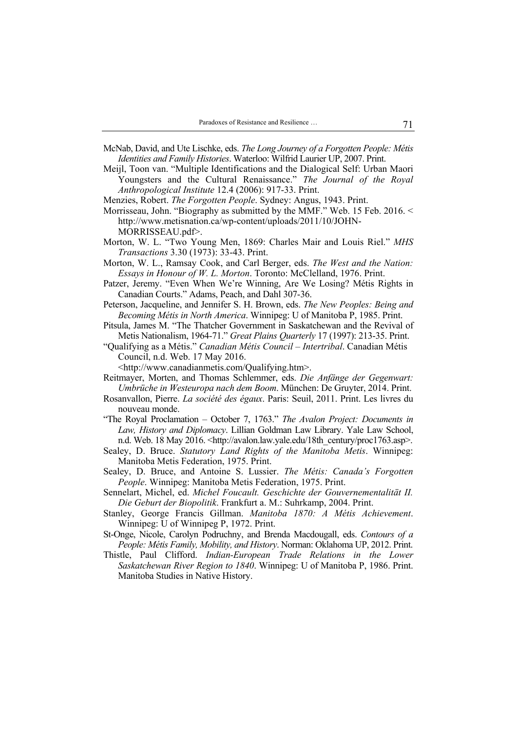- McNab, David, and Ute Lischke, eds. *The Long Journey of a Forgotten People: Métis Identities and Family Histories*. Waterloo: Wilfrid Laurier UP, 2007. Print.
- Meijl, Toon van. "Multiple Identifications and the Dialogical Self: Urban Maori Youngsters and the Cultural Renaissance." *The Journal of the Royal Anthropological Institute* 12.4 (2006): 917-33. Print.
- Menzies, Robert. *The Forgotten People*. Sydney: Angus, 1943. Print.
- Morrisseau, John. "Biography as submitted by the MMF." Web. 15 Feb. 2016. < http://www.metisnation.ca/wp-content/uploads/2011/10/JOHN-MORRISSEAU.pdf>.
- Morton, W. L. "Two Young Men, 1869: Charles Mair and Louis Riel." *MHS Transactions* 3.30 (1973): 33-43. Print.
- Morton, W. L., Ramsay Cook, and Carl Berger, eds. *The West and the Nation: Essays in Honour of W. L. Morton*. Toronto: McClelland, 1976. Print.
- Patzer, Jeremy. "Even When We're Winning, Are We Losing? Métis Rights in Canadian Courts." Adams, Peach, and Dahl 307-36.
- Peterson, Jacqueline, and Jennifer S. H. Brown, eds. *The New Peoples: Being and Becoming Métis in North America*. Winnipeg: U of Manitoba P, 1985. Print.
- Pitsula, James M. "The Thatcher Government in Saskatchewan and the Revival of Metis Nationalism, 1964-71." *Great Plains Quarterly* 17 (1997): 213-35. Print.
- "Qualifying as a Métis." *Canadian Métis Council Intertribal*. Canadian Métis Council, n.d. Web. 17 May 2016.

<http://www.canadianmetis.com/Qualifying.htm>.

- Reitmayer, Morten, and Thomas Schlemmer, eds. *Die Anfänge der Gegenwart: Umbrüche in Westeuropa nach dem Boom*. München: De Gruyter, 2014. Print.
- Rosanvallon, Pierre. *La société des égaux*. Paris: Seuil, 2011. Print. Les livres du nouveau monde.
- "The Royal Proclamation October 7, 1763." *The Avalon Project: Documents in Law, History and Diplomacy*. Lillian Goldman Law Library. Yale Law School, n.d. Web. 18 May 2016. <http://avalon.law.yale.edu/18th\_century/proc1763.asp>.
- Sealey, D. Bruce. *Statutory Land Rights of the Manitoba Metis*. Winnipeg: Manitoba Metis Federation, 1975. Print.
- Sealey, D. Bruce, and Antoine S. Lussier. *The Métis: Canada's Forgotten People*. Winnipeg: Manitoba Metis Federation, 1975. Print.
- Sennelart, Michel, ed. *Michel Foucault. Geschichte der Gouvernementalität II. Die Geburt der Biopolitik*. Frankfurt a. M.: Suhrkamp, 2004. Print.
- Stanley, George Francis Gillman. *Manitoba 1870: A Métis Achievement*. Winnipeg: U of Winnipeg P, 1972. Print.
- St-Onge, Nicole, Carolyn Podruchny, and Brenda Macdougall, eds. *Contours of a People: Métis Family, Mobility, and History*. Norman: Oklahoma UP, 2012. Print.
- Thistle, Paul Clifford. *Indian-European Trade Relations in the Lower Saskatchewan River Region to 1840*. Winnipeg: U of Manitoba P, 1986. Print. Manitoba Studies in Native History.